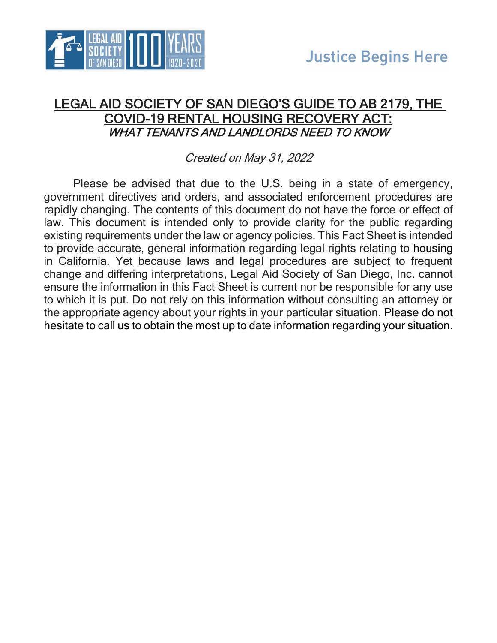

### LEGAL AID SOCIETY OF SAN DIEGO'S GUIDE TO AB 2179, THE COVID-19 RENTAL HOUSING RECOVERY ACT: WHAT TENANTS AND LANDLORDS NEED TO KNOW

Created on May 31, 2022

Please be advised that due to the U.S. being in a state of emergency, government directives and orders, and associated enforcement procedures are rapidly changing. The contents of this document do not have the force or effect of law. This document is intended only to provide clarity for the public regarding existing requirements under the law or agency policies. This Fact Sheet is intended to provide accurate, general information regarding legal rights relating to housing in California. Yet because laws and legal procedures are subject to frequent change and differing interpretations, Legal Aid Society of San Diego, Inc. cannot ensure the information in this Fact Sheet is current nor be responsible for any use to which it is put. Do not rely on this information without consulting an attorney or the appropriate agency about your rights in your particular situation. Please do not hesitate to call us to obtain the most up to date information regarding your situation.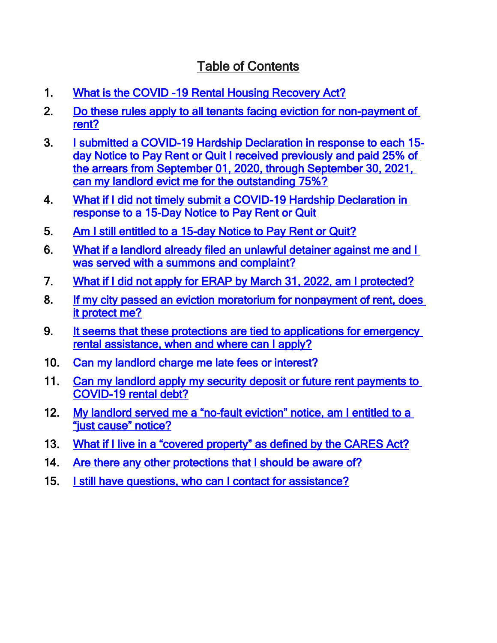## Table of Contents

- <span id="page-1-0"></span>1. [What is the COVID -19 Rental Housing Recovery Act?](#page-2-0)
- 2. [Do these rules apply to all tenants facing eviction for non-payment of](#page-3-0)  [rent?](#page-3-0)
- 3. [I submitted a COVID-19 Hardship Declaration in response to each 15](#page-3-1) [day Notice to Pay Rent or Quit I received previously and paid 25% of](#page-3-1)  [the arrears from September 01, 2020, through September 30, 2021,](#page-3-1)  can my landlord evict me for the outstanding 75%?
- 4. [What if I did not timely submit a COVID-19 Hardship Declaration in](#page-4-0)  [response to a 15-Day Notice to Pay Rent or Quit](#page-4-0)
- 5. [Am I still entitled to a 15-day Notice to Pay Rent or Quit?](#page-4-1)
- 6. [What if a landlord already filed an unlawful detainer against me and I](#page-5-0)  [was served with a summons and complaint?](#page-5-0)
- 7. [What if I did not apply for ERAP by March 31, 2022, am I protected?](#page-6-0)
- 8. If my city passed an eviction moratorium for nonpayment of rent, does [it protect me?](#page-7-0)
- 9. [It seems that these protections are tied to applications for emergency](#page-7-1)  [rental assistance, when and where can I apply?](#page-7-1)
- 10. [Can my landlord charge me late fees or interest?](#page-7-2)
- 11. [Can my landlord apply my security deposit or future rent payments to](#page-8-0)  [COVID-19 rental debt?](#page-8-0)
- 12. My landlord served me a "no-[fault eviction" notice, am I entitled to a](#page-8-1)  ["just cause" notice?](#page-8-1)
- 13. What if I live [in a "covered property" as defined by the CARES Act?](#page-9-0)
- 14. [Are there any other protections that I should be aware of?](#page-9-1)
- 15. [I still have questions, who can I contact for assistance?](#page-10-0)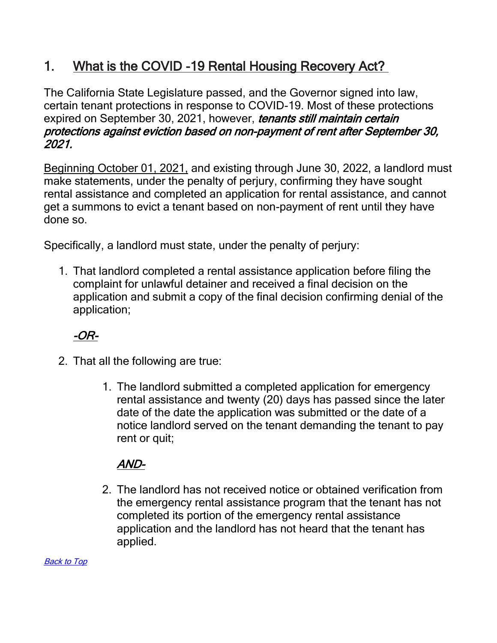# <span id="page-2-0"></span>1. What is the COVID -19 Rental Housing Recovery Act?

The California State Legislature passed, and the Governor signed into law, certain tenant protections in response to COVID-19. Most of these protections expired on September 30, 2021, however, *tenants still maintain certain* protections against eviction based on non-payment of rent after September 30, 2021.

Beginning October 01, 2021, and existing through June 30, 2022, a landlord must make statements, under the penalty of perjury, confirming they have sought rental assistance and completed an application for rental assistance, and cannot get a summons to evict a tenant based on non-payment of rent until they have done so.

Specifically, a landlord must state, under the penalty of perjury:

1. That landlord completed a rental assistance application before filing the complaint for unlawful detainer and received a final decision on the application and submit a copy of the final decision confirming denial of the application;

# -OR-

- 2. That all the following are true:
	- 1. The landlord submitted a completed application for emergency rental assistance and twenty (20) days has passed since the later date of the date the application was submitted or the date of a notice landlord served on the tenant demanding the tenant to pay rent or quit;

## AND-

2. The landlord has not received notice or obtained verification from the emergency rental assistance program that the tenant has not completed its portion of the emergency rental assistance application and the landlord has not heard that the tenant has applied.

[Back to Top](#page-1-0)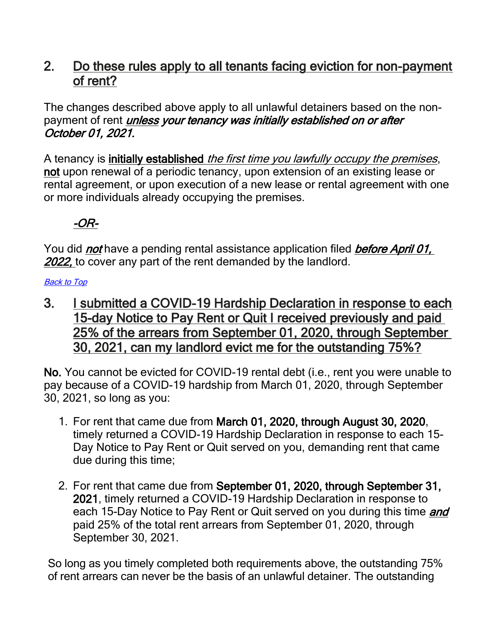### <span id="page-3-0"></span>2. Do these rules apply to all tenants facing eviction for non-payment of rent?

The changes described above apply to all unlawful detainers based on the nonpayment of rent *unless your tenancy was initially established on or after* October 01, 2021.

A tenancy is initially established the first time you lawfully occupy the premises, not upon renewal of a periodic tenancy, upon extension of an existing lease or rental agreement, or upon execution of a new lease or rental agreement with one or more individuals already occupying the premises.

## -OR-

You did *not* have a pending rental assistance application filed *before April 01*, 2022, to cover any part of the rent demanded by the landlord.

#### [Back to Top](#page-1-0)

<span id="page-3-1"></span>3. I submitted a COVID-19 Hardship Declaration in response to each 15-day Notice to Pay Rent or Quit I received previously and paid 25% of the arrears from September 01, 2020, through September 30, 2021, can my landlord evict me for the outstanding 75%?

No. You cannot be evicted for COVID-19 rental debt (i.e., rent you were unable to pay because of a COVID-19 hardship from March 01, 2020, through September 30, 2021, so long as you:

- 1. For rent that came due from March 01, 2020, through August 30, 2020, timely returned a COVID-19 Hardship Declaration in response to each 15- Day Notice to Pay Rent or Quit served on you, demanding rent that came due during this time;
- 2. For rent that came due from September 01, 2020, through September 31, 2021, timely returned a COVID-19 Hardship Declaration in response to each 15-Day Notice to Pay Rent or Quit served on you during this time *and* paid 25% of the total rent arrears from September 01, 2020, through September 30, 2021.

So long as you timely completed both requirements above, the outstanding 75% of rent arrears can never be the basis of an unlawful detainer. The outstanding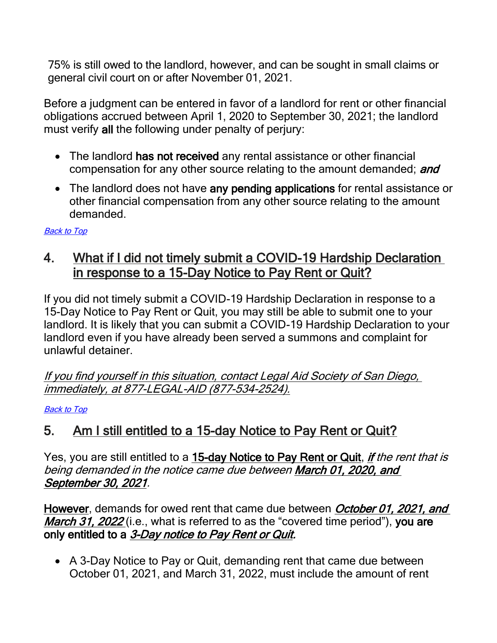75% is still owed to the landlord, however, and can be sought in small claims or general civil court on or after November 01, 2021.

Before a judgment can be entered in favor of a landlord for rent or other financial obligations accrued between April 1, 2020 to September 30, 2021; the landlord must verify all the following under penalty of perjury:

- The landlord has not received any rental assistance or other financial compensation for any other source relating to the amount demanded; and
- The landlord does not have any pending applications for rental assistance or other financial compensation from any other source relating to the amount demanded.

#### [Back to Top](#page-1-0)

### <span id="page-4-0"></span>4. What if I did not timely submit a COVID-19 Hardship Declaration in response to a 15-Day Notice to Pay Rent or Quit?

If you did not timely submit a COVID-19 Hardship Declaration in response to a 15-Day Notice to Pay Rent or Quit, you may still be able to submit one to your landlord. It is likely that you can submit a COVID-19 Hardship Declaration to your landlord even if you have already been served a summons and complaint for unlawful detainer.

If you find yourself in this situation, contact Legal Aid Society of San Diego, immediately, at 877-LEGAL-AID (877-534-2524).

#### [Back to Top](#page-1-0)

## <span id="page-4-1"></span>5. Am I still entitled to a 15-day Notice to Pay Rent or Quit?

Yes, you are still entitled to a 15-day Notice to Pay Rent or Quit, if the rent that is being demanded in the notice came due between March 01, 2020, and September 30, 2021.

However, demands for owed rent that came due between *October 01, 2021, and March 31, 2022* (i.e., what is referred to as the "covered time period"), you are only entitled to a 3-Day notice to Pay Rent or Quit.

• A 3-Day Notice to Pay or Quit, demanding rent that came due between October 01, 2021, and March 31, 2022, must include the amount of rent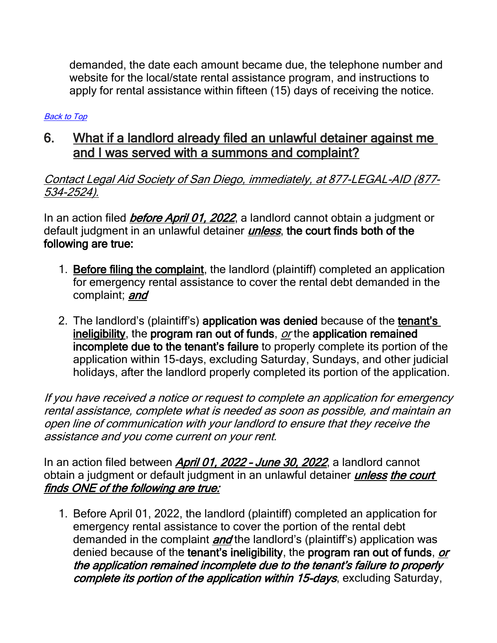demanded, the date each amount became due, the telephone number and website for the local/state rental assistance program, and instructions to apply for rental assistance within fifteen (15) days of receiving the notice.

#### [Back to Top](#page-1-0)

### <span id="page-5-0"></span>6. What if a landlord already filed an unlawful detainer against me and I was served with a summons and complaint?

Contact Legal Aid Society of San Diego, immediately, at 877-LEGAL-AID (877- 534-2524).

In an action filed *before April 01, 2022*, a landlord cannot obtain a judgment or default judgment in an unlawful detainer *unless*, the court finds both of the following are true:

- 1. Before filing the complaint, the landlord (plaintiff) completed an application for emergency rental assistance to cover the rental debt demanded in the complaint: and
- 2. The landlord's (plaintiff's) application was denied because of the tenant's ineligibility, the program ran out of funds, or the application remained incomplete due to the tenant's failure to properly complete its portion of the application within 15-days, excluding Saturday, Sundays, and other judicial holidays, after the landlord properly completed its portion of the application.

If you have received a notice or request to complete an application for emergency rental assistance, complete what is needed as soon as possible, and maintain an open line of communication with your landlord to ensure that they receive the assistance and you come current on your rent.

In an action filed between *April 01, 2022 - June 30, 2022*, a landlord cannot obtain a judgment or default judgment in an unlawful detainer *unless the court* finds ONE of the following are true:

1. Before April 01, 2022, the landlord (plaintiff) completed an application for emergency rental assistance to cover the portion of the rental debt demanded in the complaint *and* the landlord's (plaintiff's) application was denied because of the tenant's ineligibility, the program ran out of funds, or the application remained incomplete due to the tenant's failure to properly complete its portion of the application within 15-days, excluding Saturday,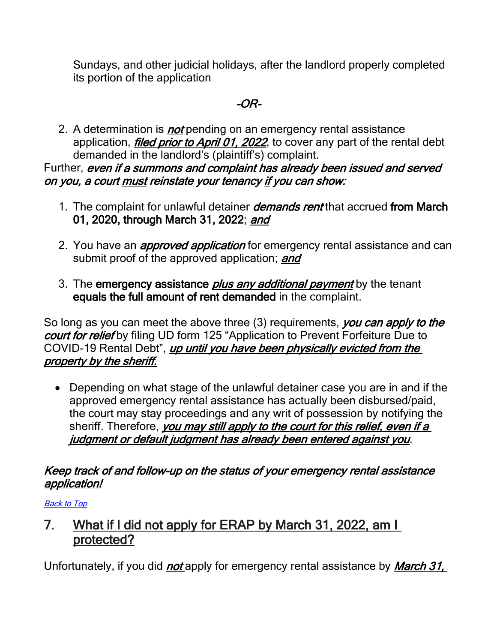Sundays, and other judicial holidays, after the landlord properly completed its portion of the application

## -OR-

2. A determination is *not* pending on an emergency rental assistance application, *filed prior to April 01, 2022*, to cover any part of the rental debt demanded in the landlord's (plaintiff's) complaint.

### Further, even if a summons and complaint has already been issued and served on you, a court must reinstate your tenancy if you can show:

- 1. The complaint for unlawful detainer *demands rent* that accrued from March 01, 2020, through March 31, 2022; and
- 2. You have an *approved application* for emergency rental assistance and can submit proof of the approved application; and
- 3. The emergency assistance *plus any additional payment* by the tenant equals the full amount of rent demanded in the complaint.

So long as you can meet the above three (3) requirements, you can apply to the court for relief by filing UD form 125 "Application to Prevent Forfeiture Due to COVID-19 Rental Debt", up until you have been physically evicted from the property by the sheriff.

• Depending on what stage of the unlawful detainer case you are in and if the approved emergency rental assistance has actually been disbursed/paid, the court may stay proceedings and any writ of possession by notifying the sheriff. Therefore, you may still apply to the court for this relief, even if a judgment or default judgment has already been entered against you.

### Keep track of and follow-up on the status of your emergency rental assistance application!

### [Back to Top](#page-1-0)

<span id="page-6-0"></span>7. What if I did not apply for ERAP by March 31, 2022, am I protected?

Unfortunately, if you did *not* apply for emergency rental assistance by *March 31*,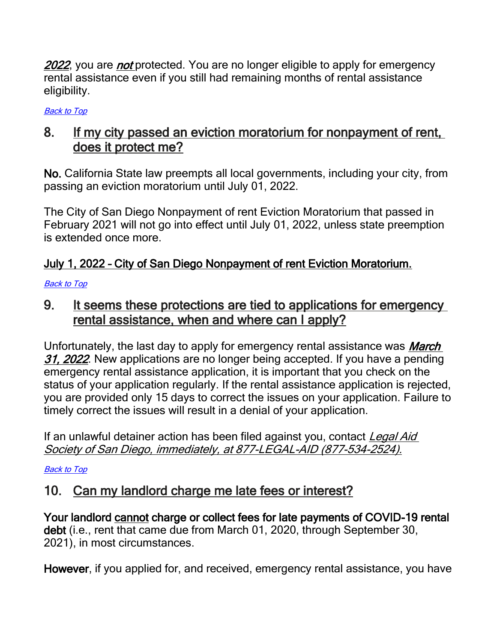2022, you are *not* protected. You are no longer eligible to apply for emergency rental assistance even if you still had remaining months of rental assistance eligibility.

### [Back to Top](#page-1-0)

### <span id="page-7-0"></span>8. If my city passed an eviction moratorium for nonpayment of rent, does it protect me?

No. California State law preempts all local governments, including your city, from passing an eviction moratorium until July 01, 2022.

The City of San Diego Nonpayment of rent Eviction Moratorium that passed in February 2021 will not go into effect until July 01, 2022, unless state preemption is extended once more.

### July 1, 2022 – City of San Diego Nonpayment of rent Eviction Moratorium.

#### [Back to Top](#page-1-0)

### <span id="page-7-1"></span>9. It seems these protections are tied to applications for emergency rental assistance, when and where can I apply?

Unfortunately, the last day to apply for emergency rental assistance was *March* 31, 2022. New applications are no longer being accepted. If you have a pending emergency rental assistance application, it is important that you check on the status of your application regularly. If the rental assistance application is rejected, you are provided only 15 days to correct the issues on your application. Failure to timely correct the issues will result in a denial of your application.

If an unlawful detainer action has been filed against you, contact Legal Aid Society of San Diego, immediately, at 877-LEGAL-AID (877-534-2524).

#### [Back to Top](#page-1-0)

### <span id="page-7-2"></span>10. Can my landlord charge me late fees or interest?

Your landlord cannot charge or collect fees for late payments of COVID-19 rental debt (i.e., rent that came due from March 01, 2020, through September 30, 2021), in most circumstances.

However, if you applied for, and received, emergency rental assistance, you have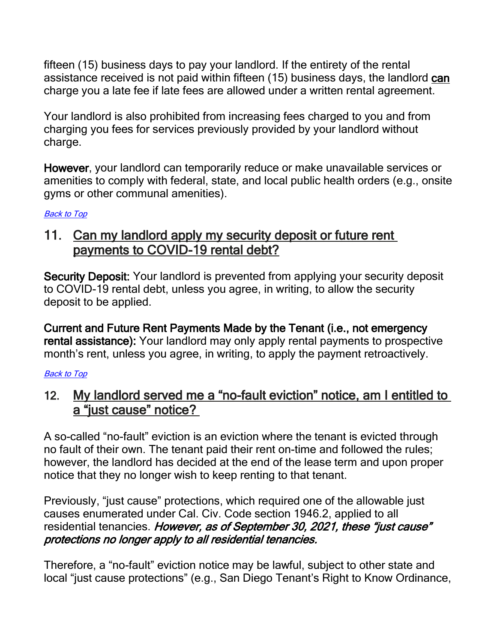fifteen (15) business days to pay your landlord. If the entirety of the rental assistance received is not paid within fifteen (15) business days, the landlord can charge you a late fee if late fees are allowed under a written rental agreement.

Your landlord is also prohibited from increasing fees charged to you and from charging you fees for services previously provided by your landlord without charge.

However, your landlord can temporarily reduce or make unavailable services or amenities to comply with federal, state, and local public health orders (e.g., onsite gyms or other communal amenities).

#### [Back to Top](#page-1-0)

### <span id="page-8-0"></span>11. Can my landlord apply my security deposit or future rent payments to COVID-19 rental debt?

Security Deposit: Your landlord is prevented from applying your security deposit to COVID-19 rental debt, unless you agree, in writing, to allow the security deposit to be applied.

Current and Future Rent Payments Made by the Tenant (i.e., not emergency rental assistance): Your landlord may only apply rental payments to prospective month's rent, unless you agree, in writing, to apply the payment retroactively.

#### [Back to Top](#page-1-0)

### <span id="page-8-1"></span>12. My landlord served me a "no-fault eviction" notice, am I entitled to a "just cause" notice?

A so-called "no-fault" eviction is an eviction where the tenant is evicted through no fault of their own. The tenant paid their rent on-time and followed the rules; however, the landlord has decided at the end of the lease term and upon proper notice that they no longer wish to keep renting to that tenant.

Previously, "just cause" protections, which required one of the allowable just causes enumerated under Cal. Civ. Code section 1946.2, applied to all residential tenancies. However, as of September 30, 2021, these "just cause" protections no longer apply to all residential tenancies.

Therefore, a "no-fault" eviction notice may be lawful, subject to other state and local "just cause protections" (e.g., San Diego Tenant's Right to Know Ordinance,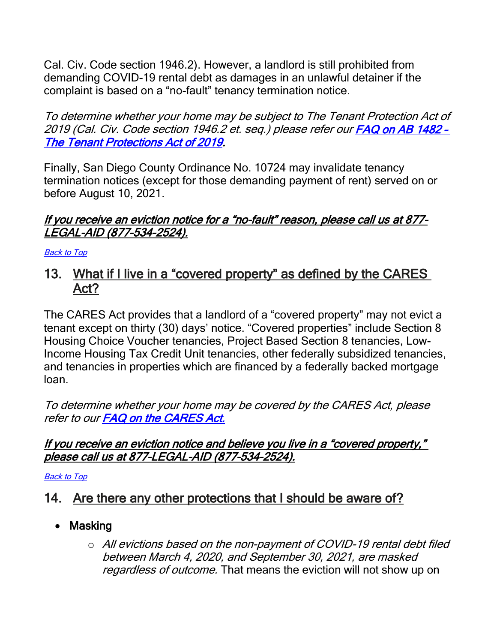Cal. Civ. Code section 1946.2). However, a landlord is still prohibited from demanding COVID-19 rental debt as damages in an unlawful detainer if the complaint is based on a "no-fault" tenancy termination notice.

To determine whether your home may be subject to The Tenant Protection Act of 2019 (Cal. Civ. Code section 1946.2 et. seq.) please refer ou[r FAQ on AB 1482](https://www.lassd.org/sites/default/files/imce/Articles/AB%201482_One-Pager_FINAL_0.pdf) -[The Tenant Protections Act of 2019.](https://www.lassd.org/sites/default/files/imce/Articles/AB%201482_One-Pager_FINAL_0.pdf)

Finally, San Diego County Ordinance No. 10724 may invalidate tenancy termination notices (except for those demanding payment of rent) served on or before August 10, 2021.

### If you receive an eviction notice for a "no-fault" reason, please call us at 877-LEGAL-AID (877-534-2524).

#### [Back to Top](#page-1-0)

### <span id="page-9-0"></span>13. What if I live in a "covered property" as defined by the CARES Act?

The CARES Act provides that a landlord of a "covered property" may not evict a tenant except on thirty (30) days' notice. "Covered properties" include Section 8 Housing Choice Voucher tenancies, Project Based Section 8 tenancies, Low-Income Housing Tax Credit Unit tenancies, other federally subsidized tenancies, and tenancies in properties which are financed by a federally backed mortgage loan.

To determine whether your home may be covered by the CARES Act, please refer to our FAQ on the CARES Act.

### If you receive an eviction notice and believe you live in a "covered property," please call us at 877-LEGAL-AID (877-534-2524).

[Back to Top](#page-1-0)

### <span id="page-9-1"></span>14. Are there any other protections that I should be aware of?

- Masking
	- o All evictions based on the non-payment of COVID-19 rental debt filed between March 4, 2020, and September 30, 2021, are masked regardless of outcome. That means the eviction will not show up on